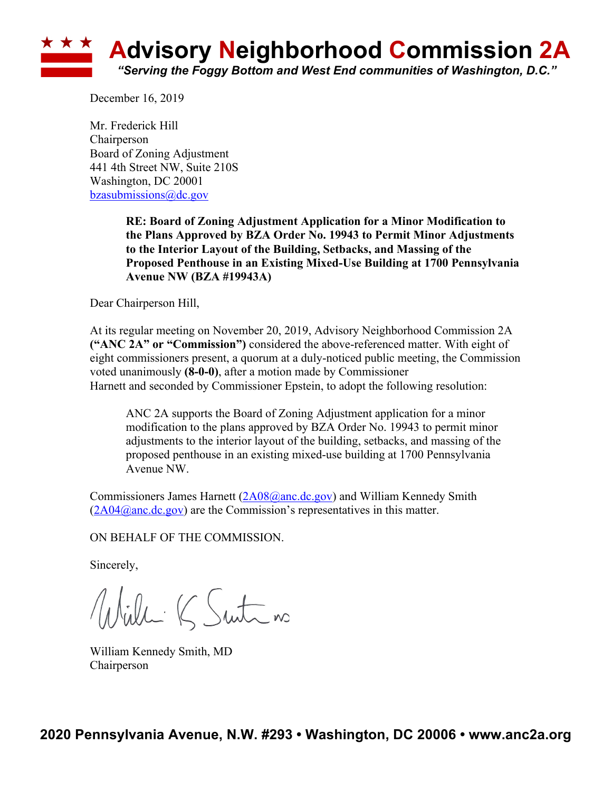

December 16, 2019

Mr. Frederick Hill **Chairperson** Board of Zoning Adjustment 441 4th Street NW, Suite 210S Washington, DC 20001 bzasubmissions@dc.gov

> **RE: Board of Zoning Adjustment Application for a Minor Modification to the Plans Approved by BZA Order No. 19943 to Permit Minor Adjustments to the Interior Layout of the Building, Setbacks, and Massing of the Proposed Penthouse in an Existing Mixed-Use Building at 1700 Pennsylvania Avenue NW (BZA #19943A)**

Dear Chairperson Hill,

At its regular meeting on November 20, 2019, Advisory Neighborhood Commission 2A **("ANC 2A" or "Commission")** considered the above-referenced matter. With eight of eight commissioners present, a quorum at a duly-noticed public meeting, the Commission voted unanimously **(8-0-0)**, after a motion made by Commissioner Harnett and seconded by Commissioner Epstein, to adopt the following resolution:

ANC 2A supports the Board of Zoning Adjustment application for a minor modification to the plans approved by BZA Order No. 19943 to permit minor adjustments to the interior layout of the building, setbacks, and massing of the proposed penthouse in an existing mixed-use building at 1700 Pennsylvania Avenue NW.

Commissioners James Harnett (2A08@anc.dc.gov) and William Kennedy Smith  $(2A04@anc.dc.gov)$  are the Commission's representatives in this matter.

ON BEHALF OF THE COMMISSION.

Sincerely,

Willi K Suite no

William Kennedy Smith, MD Chairperson